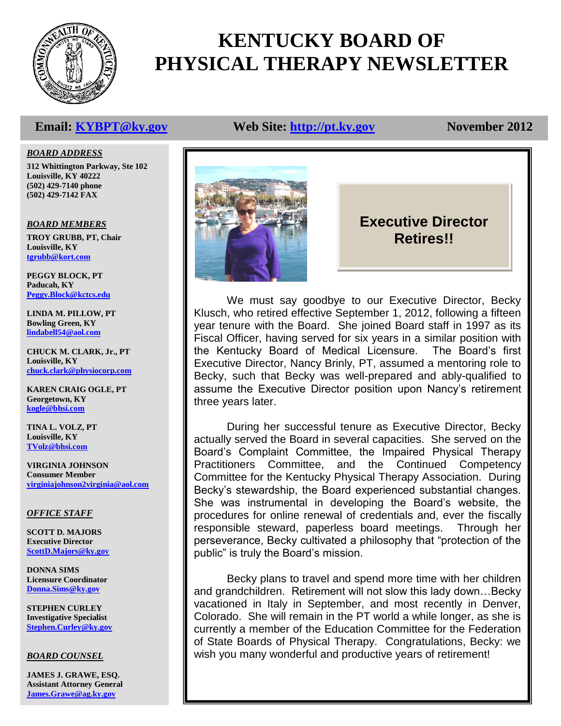

# **KENTUCKY BOARD OF PHYSICAL THERAPY NEWSLETTER**

# **Email: [KYBPT@ky.gov](mailto:KYBPT@ky.gov) Web Site: [http://pt.ky.gov](http://pt.ky.gov/) November 2012**

*BOARD ADDRESS*

**312 Whittington Parkway, Ste 102 Louisville, KY 40222 (502) 429-7140 phone (502) 429-7142 FAX**

# *BOARD MEMBERS*

**TROY GRUBB, PT, Chair Louisville, KY [tgrubb@kort.com](mailto:tgrubb@kort.com)**

**PEGGY BLOCK, PT Paducah, KY [Peggy.Block@kctcs.edu](mailto:Peggy.Block@kctcs.edu)**

**LINDA M. PILLOW, PT Bowling Green, KY [lindabell54@aol.com](mailto:blainpt@netzero.net)**

**CHUCK M. CLARK, Jr., PT Louisville, KY [chuck.clark@physiocorp.com](mailto:chuck.clark@physiocorp.com)**

**KAREN CRAIG OGLE, PT Georgetown, KY [kogle@bhsi.com](mailto:kogle@bhsi.com)**

**TINA L. VOLZ, PT Louisville, KY [TVolz@bhsi.com](mailto:TVolz@bhsi.com)**

**VIRGINIA JOHNSON Consumer Member [virginiajohnson2virginia@aol.com](mailto:vjohnson14769@yahoo.com)**

# *OFFICE STAFF*

**SCOTT D. MAJORS Executive Director [ScottD.Majors@ky.gov](mailto:ScottD.Majors@ky.gov)**

**DONNA SIMS Licensure Coordinator [Donna.Sims@ky.gov](mailto:Donna.Sims@ky.gov)**

**STEPHEN CURLEY Investigative Specialist [Stephen.Curley@ky.gov](mailto:Stephen.Curley@ky.gov)**

# *BOARD COUNSEL*

**JAMES J. GRAWE, ESQ. Assistant Attorney General [James.Grawe@ag.ky.gov](mailto:James.Grawe@ag.ky.gov)**



# **Executive Director Retires!!**

We must say goodbye to our Executive Director, Becky Klusch, who retired effective September 1, 2012, following a fifteen year tenure with the Board. She joined Board staff in 1997 as its Fiscal Officer, having served for six years in a similar position with the Kentucky Board of Medical Licensure. The Board's first Executive Director, Nancy Brinly, PT, assumed a mentoring role to Becky, such that Becky was well-prepared and ably-qualified to assume the Executive Director position upon Nancy's retirement three years later.

During her successful tenure as Executive Director, Becky actually served the Board in several capacities. She served on the Board's Complaint Committee, the Impaired Physical Therapy Practitioners Committee, and the Continued Competency Committee for the Kentucky Physical Therapy Association. During Becky's stewardship, the Board experienced substantial changes. She was instrumental in developing the Board's website, the procedures for online renewal of credentials and, ever the fiscally responsible steward, paperless board meetings. Through her perseverance, Becky cultivated a philosophy that "protection of the public" is truly the Board's mission.

Becky plans to travel and spend more time with her children and grandchildren. Retirement will not slow this lady down…Becky vacationed in Italy in September, and most recently in Denver, Colorado. She will remain in the PT world a while longer, as she is currently a member of the Education Committee for the Federation of State Boards of Physical Therapy. Congratulations, Becky: we wish you many wonderful and productive years of retirement!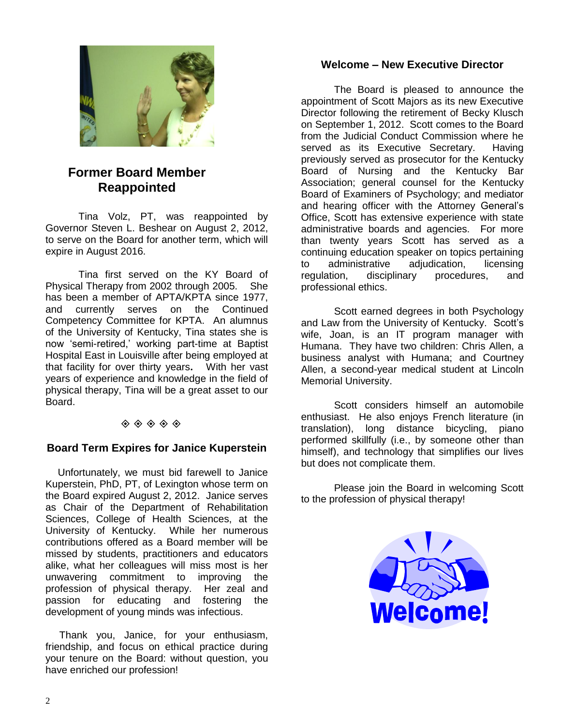

# **Former Board Member Reappointed**

Tina Volz, PT, was reappointed by Governor Steven L. Beshear on August 2, 2012, to serve on the Board for another term, which will expire in August 2016.

Tina first served on the KY Board of Physical Therapy from 2002 through 2005. She has been a member of APTA/KPTA since 1977, and currently serves on the Continued Competency Committee for KPTA. An alumnus of the University of Kentucky, Tina states she is now 'semi-retired,' working part-time at Baptist Hospital East in Louisville after being employed at that facility for over thirty years**.** With her vast years of experience and knowledge in the field of physical therapy, Tina will be a great asset to our Board.

# $\diamondsuit \diamondsuit \diamondsuit \diamondsuit \diamondsuit \diamondsuit$

# **Board Term Expires for Janice Kuperstein**

 Unfortunately, we must bid farewell to Janice Kuperstein, PhD, PT, of Lexington whose term on the Board expired August 2, 2012. Janice serves as Chair of the Department of Rehabilitation Sciences, College of Health Sciences, at the University of Kentucky. While her numerous contributions offered as a Board member will be missed by students, practitioners and educators alike, what her colleagues will miss most is her unwavering commitment to improving the profession of physical therapy. Her zeal and passion for educating and fostering the development of young minds was infectious.

 Thank you, Janice, for your enthusiasm, friendship, and focus on ethical practice during your tenure on the Board: without question, you have enriched our profession!

# **Welcome – New Executive Director**

The Board is pleased to announce the appointment of Scott Majors as its new Executive Director following the retirement of Becky Klusch on September 1, 2012. Scott comes to the Board from the Judicial Conduct Commission where he served as its Executive Secretary. Having previously served as prosecutor for the Kentucky Board of Nursing and the Kentucky Bar Association; general counsel for the Kentucky Board of Examiners of Psychology; and mediator and hearing officer with the Attorney General's Office, Scott has extensive experience with state administrative boards and agencies. For more than twenty years Scott has served as a continuing education speaker on topics pertaining to administrative adjudication, licensing regulation, disciplinary procedures, and professional ethics.

Scott earned degrees in both Psychology and Law from the University of Kentucky. Scott's wife, Joan, is an IT program manager with Humana. They have two children: Chris Allen, a business analyst with Humana; and Courtney Allen, a second-year medical student at Lincoln Memorial University.

Scott considers himself an automobile enthusiast. He also enjoys French literature (in translation), long distance bicycling, piano performed skillfully (i.e., by someone other than himself), and technology that simplifies our lives but does not complicate them.

Please join the Board in welcoming Scott to the profession of physical therapy!

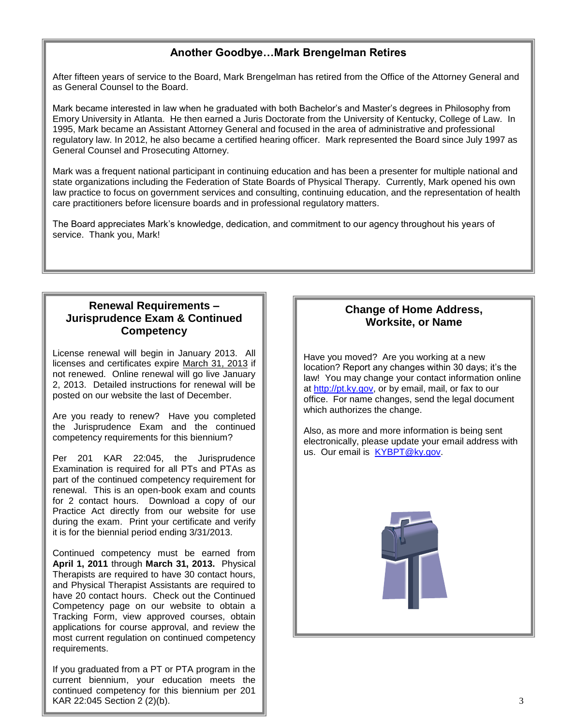# **Another Goodbye…Mark Brengelman Retires**

After fifteen years of service to the Board, Mark Brengelman has retired from the Office of the Attorney General and as General Counsel to the Board.

Mark became interested in law when he graduated with both Bachelor's and Master's degrees in Philosophy from Emory University in Atlanta. He then earned a Juris Doctorate from the University of Kentucky, College of Law. In 1995, Mark became an Assistant Attorney General and focused in the area of administrative and professional regulatory law. In 2012, he also became a certified hearing officer. Mark represented the Board since July 1997 as General Counsel and Prosecuting Attorney.

Mark was a frequent national participant in continuing education and has been a presenter for multiple national and state organizations including the Federation of State Boards of Physical Therapy. Currently, Mark opened his own law practice to focus on government services and consulting, continuing education, and the representation of health care practitioners before licensure boards and in professional regulatory matters.

The Board appreciates Mark's knowledge, dedication, and commitment to our agency throughout his years of service. Thank you, Mark!

# **Renewal Requirements – Jurisprudence Exam & Continued Competency**

License renewal will begin in January 2013. All licenses and certificates expire March 31, 2013 if not renewed. Online renewal will go live January 2, 2013. Detailed instructions for renewal will be posted on our website the last of December.

Are you ready to renew? Have you completed the Jurisprudence Exam and the continued competency requirements for this biennium?

Per 201 KAR 22:045, the Jurisprudence Examination is required for all PTs and PTAs as part of the continued competency requirement for renewal. This is an open-book exam and counts for 2 contact hours. Download a copy of our Practice Act directly from our website for use during the exam. Print your certificate and verify it is for the biennial period ending 3/31/2013.

Continued competency must be earned from **April 1, 2011** through **March 31, 2013.** Physical Therapists are required to have 30 contact hours, and Physical Therapist Assistants are required to have 20 contact hours. Check out the Continued Competency page on our website to obtain a Tracking Form, view approved courses, obtain applications for course approval, and review the most current regulation on continued competency requirements.

If you graduated from a PT or PTA program in the current biennium, your education meets the continued competency for this biennium per 201 KAR 22:045 Section 2 (2)(b).

# **Change of Home Address, Worksite, or Name**

Have you moved? Are you working at a new location? Report any changes within 30 days; it's the law! You may change your contact information online at [http://pt.ky.gov,](http://pt.ky.gov/) or by email, mail, or fax to our office. For name changes, send the legal document which authorizes the change.

Also, as more and more information is being sent electronically, please update your email address with us. Our email is [KYBPT@ky.gov.](mailto:KYBPT@ky.gov)

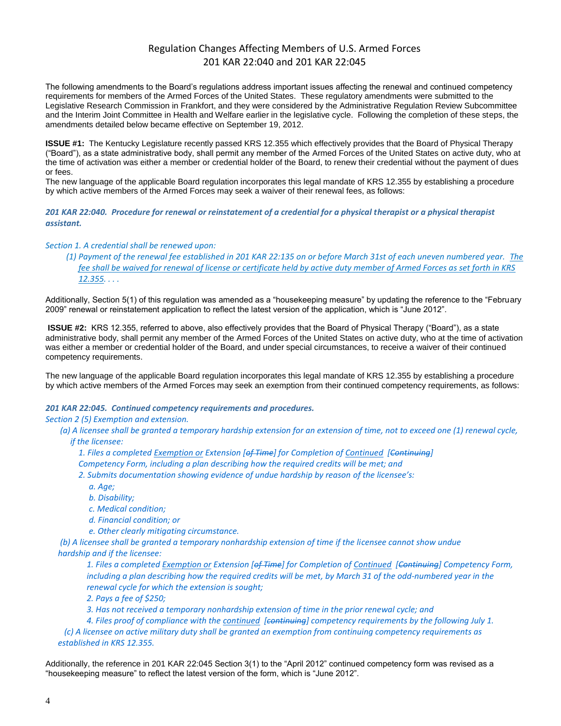# Regulation Changes Affecting Members of U.S. Armed Forces 201 KAR 22:040 and 201 KAR 22:045

The following amendments to the Board's regulations address important issues affecting the renewal and continued competency requirements for members of the Armed Forces of the United States. These regulatory amendments were submitted to the Legislative Research Commission in Frankfort, and they were considered by the Administrative Regulation Review Subcommittee and the Interim Joint Committee in Health and Welfare earlier in the legislative cycle. Following the completion of these steps, the amendments detailed below became effective on September 19, 2012.

**ISSUE #1:** The Kentucky Legislature recently passed KRS 12.355 which effectively provides that the Board of Physical Therapy ("Board"), as a state administrative body, shall permit any member of the Armed Forces of the United States on active duty, who at the time of activation was either a member or credential holder of the Board, to renew their credential without the payment of dues or fees.

The new language of the applicable Board regulation incorporates this legal mandate of KRS 12.355 by establishing a procedure by which active members of the Armed Forces may seek a waiver of their renewal fees, as follows:

*201 KAR 22:040. Procedure for renewal or reinstatement of a credential for a physical therapist or a physical therapist assistant.*

#### *Section 1. A credential shall be renewed upon:*

*(1) Payment of the renewal fee established in 201 KAR 22:135 on or before March 31st of each uneven numbered year. The fee shall be waived for renewal of license or certificate held by active duty member of Armed Forces as set forth in KRS 12.355. . . .*

Additionally, Section 5(1) of this regulation was amended as a "housekeeping measure" by updating the reference to the "February 2009" renewal or reinstatement application to reflect the latest version of the application, which is "June 2012".

**ISSUE #2:** KRS 12.355, referred to above, also effectively provides that the Board of Physical Therapy ("Board"), as a state administrative body, shall permit any member of the Armed Forces of the United States on active duty, who at the time of activation was either a member or credential holder of the Board, and under special circumstances, to receive a waiver of their continued competency requirements.

The new language of the applicable Board regulation incorporates this legal mandate of KRS 12.355 by establishing a procedure by which active members of the Armed Forces may seek an exemption from their continued competency requirements, as follows:

#### *201 KAR 22:045. Continued competency requirements and procedures.*

#### *Section 2 (5) Exemption and extension.*

 *(a) A licensee shall be granted a temporary hardship extension for an extension of time, not to exceed one (1) renewal cycle,*

*if the licensee:*

*1. Files a completed Exemption or Extension [of Time] for Completion of Continued [Continuing]* 

*Competency Form, including a plan describing how the required credits will be met; and*

- *2. Submits documentation showing evidence of undue hardship by reason of the licensee's:*
	- *a. Age;*
	- *b. Disability;*
	- *c. Medical condition;*
	- *d. Financial condition; or*
	- *e. Other clearly mitigating circumstance.*

 *(b) A licensee shall be granted a temporary nonhardship extension of time if the licensee cannot show undue hardship and if the licensee:*

*1. Files a completed Exemption or Extension [of Time] for Completion of Continued [Continuing] Competency Form, including a plan describing how the required credits will be met, by March 31 of the odd-numbered year in the renewal cycle for which the extension is sought;*

*2. Pays a fee of \$250;*

*3. Has not received a temporary nonhardship extension of time in the prior renewal cycle; and*

*4. Files proof of compliance with the continued [continuing] competency requirements by the following July 1.*

 *(c) A licensee on active military duty shall be granted an exemption from continuing competency requirements as established in KRS 12.355.*

Additionally, the reference in 201 KAR 22:045 Section 3(1) to the "April 2012" continued competency form was revised as a "housekeeping measure" to reflect the latest version of the form, which is "June 2012".